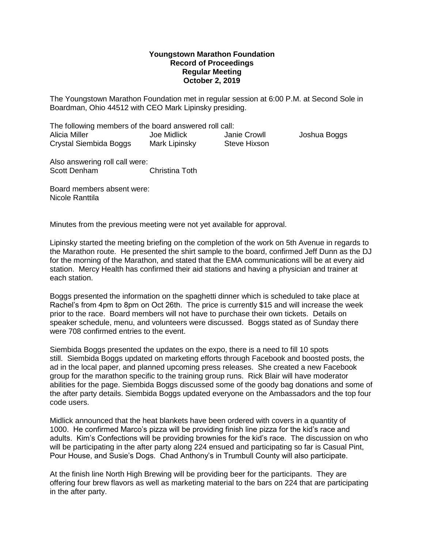## **Youngstown Marathon Foundation Record of Proceedings Regular Meeting October 2, 2019**

The Youngstown Marathon Foundation met in regular session at 6:00 P.M. at Second Sole in Boardman, Ohio 44512 with CEO Mark Lipinsky presiding.

The following members of the board answered roll call: Alicia Miller Joe Midlick Janie Crowll Joshua Boggs Crystal Siembida Boggs Mark Lipinsky Steve Hixson

Also answering roll call were: Scott Denham Christina Toth

Board members absent were: Nicole Ranttila

Minutes from the previous meeting were not yet available for approval.

Lipinsky started the meeting briefing on the completion of the work on 5th Avenue in regards to the Marathon route. He presented the shirt sample to the board, confirmed Jeff Dunn as the DJ for the morning of the Marathon, and stated that the EMA communications will be at every aid station. Mercy Health has confirmed their aid stations and having a physician and trainer at each station.

Boggs presented the information on the spaghetti dinner which is scheduled to take place at Rachel's from 4pm to 8pm on Oct 26th. The price is currently \$15 and will increase the week prior to the race. Board members will not have to purchase their own tickets. Details on speaker schedule, menu, and volunteers were discussed. Boggs stated as of Sunday there were 708 confirmed entries to the event.

Siembida Boggs presented the updates on the expo, there is a need to fill 10 spots still. Siembida Boggs updated on marketing efforts through Facebook and boosted posts, the ad in the local paper, and planned upcoming press releases. She created a new Facebook group for the marathon specific to the training group runs. Rick Blair will have moderator abilities for the page. Siembida Boggs discussed some of the goody bag donations and some of the after party details. Siembida Boggs updated everyone on the Ambassadors and the top four code users.

Midlick announced that the heat blankets have been ordered with covers in a quantity of 1000. He confirmed Marco's pizza will be providing finish line pizza for the kid's race and adults. Kim's Confections will be providing brownies for the kid's race. The discussion on who will be participating in the after party along 224 ensued and participating so far is Casual Pint, Pour House, and Susie's Dogs. Chad Anthony's in Trumbull County will also participate.

At the finish line North High Brewing will be providing beer for the participants. They are offering four brew flavors as well as marketing material to the bars on 224 that are participating in the after party.